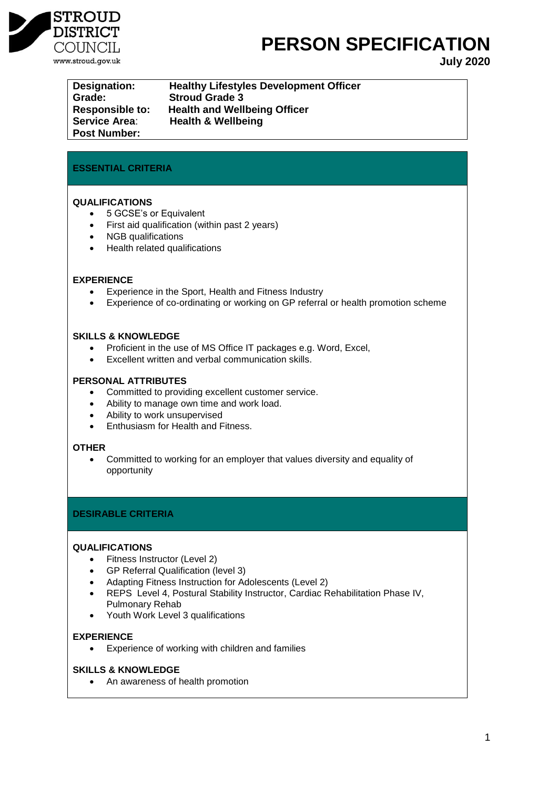

# **PERSON SPECIFICATION**

**July 2020**

| Designation:           | Hea  |
|------------------------|------|
| Grade:                 | Stro |
| <b>Responsible to:</b> | Hea  |
| <b>Service Area:</b>   | Hea  |
| <b>Post Number:</b>    |      |

**Resignal Engineer Setupe Interpretery** Development Officer oud Grade 3 **Responsible to: Health and Wellbeing Officer Service Area**: **Health & Wellbeing**

# **ESSENTIAL CRITERIA**

# **QUALIFICATIONS**

- 5 GCSE's or Equivalent
- First aid qualification (within past 2 years)
- NGB qualifications
- Health related qualifications

## **EXPERIENCE**

- Experience in the Sport, Health and Fitness Industry
- Experience of co-ordinating or working on GP referral or health promotion scheme

## **SKILLS & KNOWLEDGE**

- Proficient in the use of MS Office IT packages e.g. Word, Excel,
- Excellent written and verbal communication skills.

## **PERSONAL ATTRIBUTES**

- Committed to providing excellent customer service.
- Ability to manage own time and work load.
- Ability to work unsupervised
- Enthusiasm for Health and Fitness.

## **OTHER**

 Committed to working for an employer that values diversity and equality of opportunity

## **DESIRABLE CRITERIA**

## **QUALIFICATIONS**

- Fitness Instructor (Level 2)
- GP Referral Qualification (level 3)
- Adapting Fitness Instruction for Adolescents (Level 2)
- REPS Level 4, Postural Stability Instructor, Cardiac Rehabilitation Phase IV, Pulmonary Rehab
- Youth Work Level 3 qualifications

## **EXPERIENCE**

Experience of working with children and families

## **SKILLS & KNOWLEDGE**

An awareness of health promotion